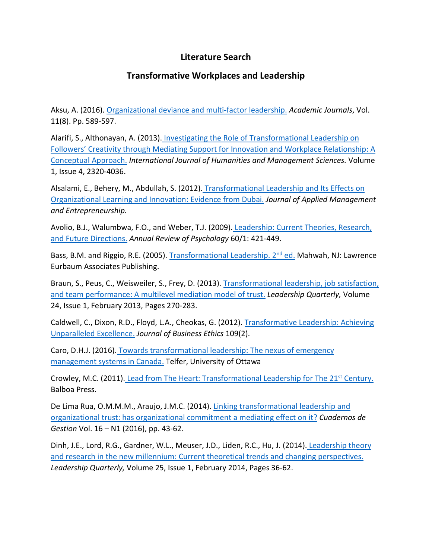## **Literature Search**

## **Transformative Workplaces and Leadership**

Aksu, A. (2016). [Organizational deviance and multi-factor leadership.](http://www.academicjournals.org/journal/ERR/article-full-text-pdf/F4F1E5158013) *Academic Journals*, Vol. 11(8). Pp. 589-597.

Alarifi, S., Althonayan, A. (2013). [Investigating the Role of Transformational Leadership on](http://www.isaet.org/images/extraimages/L813070.pdf)  [Followers' Creativity through Mediating Support for Innovation and Workplace Relationship: A](http://www.isaet.org/images/extraimages/L813070.pdf)  [Conceptual Approach.](http://www.isaet.org/images/extraimages/L813070.pdf) *International Journal of Humanities and Management Sciences.* Volume 1, Issue 4, 2320-4036.

Alsalami, E., Behery, M., Abdullah, S. (2012). [Transformational Leadership and Its Effects on](https://www.questia.com/library/journal/1P3-3491135431/transformational-leadership-and-its-effects-on-organizational)  [Organizational Learning and Innovation: Evidence from Dubai.](https://www.questia.com/library/journal/1P3-3491135431/transformational-leadership-and-its-effects-on-organizational) *Journal of Applied Management and Entrepreneurship.*

Avolio, B.J., Walumbwa, F.O., and Weber, T.J. (2009). [Leadership: Current Theories, Research,](http://www.annualreviews.org/doi/abs/10.1146/annurev.psych.60.110707.163621)  [and Future Directions.](http://www.annualreviews.org/doi/abs/10.1146/annurev.psych.60.110707.163621) *Annual Review of Psychology* 60/1: 421-449.

Bass, B.M. and Riggio, R.E. (2005). [Transformational Leadership. 2](https://www.amazon.ca/Transformational-Leadership-Bernard-M-Bass/dp/0805847626)<sup>nd</sup> ed. Mahwah, NJ: Lawrence Eurbaum Associates Publishing.

Braun, S., Peus, C., Weisweiler, S., Frey, D. (2013). Transformational leadership, job satisfaction, [and team performance: A multilevel mediation model of trust.](http://www.sciencedirect.com/science/article/pii/S1048984312001075) *Leadership Quarterly,* Volume 24, Issue 1, February 2013, Pages 270-283.

Caldwell, C., Dixon, R.D., Floyd, L.A., Cheokas, G. (2012). [Transformative Leadership: Achieving](https://www.researchgate.net/publication/257541719_Transformative_Leadership_Achieving_Unparalleled_Excellence)  [Unparalleled Excellence.](https://www.researchgate.net/publication/257541719_Transformative_Leadership_Achieving_Unparalleled_Excellence) *Journal of Business Ethics* 109(2).

Caro, D.H.J. (2016). [Towards transformational leadership: The nexus of emergency](http://www.inderscienceonline.com/doi/abs/10.1504/IJEM.2016.076631)  [management systems in Canada.](http://www.inderscienceonline.com/doi/abs/10.1504/IJEM.2016.076631) Telfer, University of Ottawa

Crowley, M.C. (2011). [Lead from The Heart: Transformational Leadership for The 21](https://www.amazon.ca/Lead-Heart-Transformational-Leadership-Century/dp/145253540X)<sup>st</sup> Century. Balboa Press.

De Lima Rua, O.M.M.M., Araujo, J.M.C. (2014). [Linking transformational leadership and](https://addi.ehu.es/bitstream/10810/16688/1/140484om.pdf)  [organizational trust: has organizational commitment a mediating effect on it?](https://addi.ehu.es/bitstream/10810/16688/1/140484om.pdf) *Cuadernos de Gestion* Vol. 16 – N1 (2016), pp. 43-62.

Dinh, J.E., Lord, R.G., Gardner, W.L., Meuser, J.D., Liden, R.C., Hu, J. (2014). [Leadership theory](http://www.sciencedirect.com/science/article/pii/S1048984313001203)  [and research in the new millennium: Current theoretical trends and changing perspectives.](http://www.sciencedirect.com/science/article/pii/S1048984313001203) *Leadership Quarterly,* Volume 25, Issue 1, February 2014, Pages 36-62.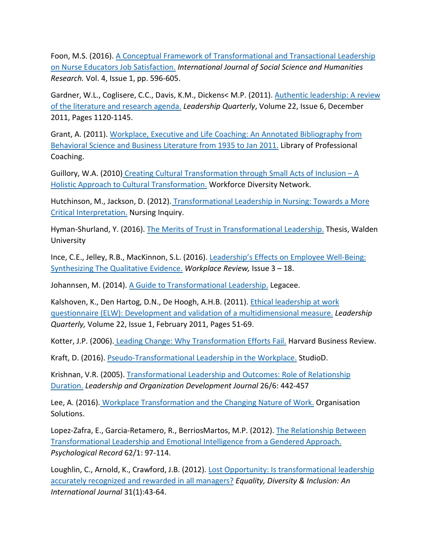Foon, M.S. (2016). [A Conceptual Framework of Transformational and Transactional Leadership](https://www.researchgate.net/publication/297827653_A_Conceptual_Framework_of_Transformational_and_Transactional_Leadership_on_Nurse_Educators_Job_Satisfaction)  [on Nurse Educators Job Satisfaction.](https://www.researchgate.net/publication/297827653_A_Conceptual_Framework_of_Transformational_and_Transactional_Leadership_on_Nurse_Educators_Job_Satisfaction) *International Journal of Social Science and Humanities Research.* Vol. 4, Issue 1, pp. 596-605.

Gardner, W.L., Coglisere, C.C., Davis, K.M., Dickens< M.P. (2011). [Authentic leadership: A review](http://www.sciencedirect.com/science/article/pii/S1048984311001548)  [of the literature and research agenda.](http://www.sciencedirect.com/science/article/pii/S1048984311001548) *Leadership Quarterly*, Volume 22, Issue 6, December 2011, Pages 1120-1145.

Grant, A. (2011). [Workplace, Executive and Life Coaching: An Annotated Bibliography from](http://www.coachfederation.org/files/includes/docs/110-Coaching-Biographies-(GRANT).pdf)  [Behavioral Science and Business Literature from 1935 to Jan 2011.](http://www.coachfederation.org/files/includes/docs/110-Coaching-Biographies-(GRANT).pdf) Library of Professional Coaching.

Guillory, W.A. (2010) [Creating Cultural Transformation through Small Acts of Inclusion –](http://www.workforcediversitynetwork.com/res_articles_cuturaltransformation_guillory.aspx) A [Holistic Approach to Cultural Transformation.](http://www.workforcediversitynetwork.com/res_articles_cuturaltransformation_guillory.aspx) Workforce Diversity Network.

Hutchinson, M., Jackson, D. (2012). Transformational Leadership in Nursing: Towards a More [Critical Interpretation.](http://onlinelibrary.wiley.com/doi/10.1111/nin.12006/abstract) Nursing Inquiry.

Hyman-Shurland, Y. (2016). [The Merits of Trust in Transformational Leadership.](http://scholarworks.waldenu.edu/dissertations/2448/) Thesis, Walden University

Ince, C.E., Jelley, R.B., MacKinnon, S.L. (2016). [Leadership's Effects on Employee Well-Being:](https://www.smu.ca/webfiles/C.ElliotInceR.BlakeJelleyStaceyL.MacKinnon.pdf)  [Synthesizing The Qualitative Evidence.](https://www.smu.ca/webfiles/C.ElliotInceR.BlakeJelleyStaceyL.MacKinnon.pdf) *Workplace Review,* Issue 3 – 18.

Johannsen, M. (2014). [A Guide to Transformational Leadership.](https://www.legacee.com/transformational-leadership/) Legacee.

Kalshoven, K., Den Hartog, D.N., De Hoogh, A.H.B. (2011). [Ethical leadership at work](http://www.sciencedirect.com/science/article/pii/S1048984310001876)  [questionnaire \(ELW\): Development and validation of a multidimensional measure.](http://www.sciencedirect.com/science/article/pii/S1048984310001876) *Leadership Quarterly,* Volume 22, Issue 1, February 2011, Pages 51-69.

Kotter, J.P. (2006). [Leading Change: Why Transformation Efforts Fail.](https://hbr.org/2007/01/leading-change-why-transformation-efforts-fail) Harvard Business Review.

Kraft, D. (2016). [Pseudo-Transformational Leadership in the Workplace.](http://work.chron.com/pseudotransformational-leadership-workplace-30748.htm) StudioD.

Krishnan, V.R. (2005)[. Transformational Leadership and Outcomes: Role of Relationship](http://www.emeraldinsight.com/doi/abs/10.1108/01437730510617654)  [Duration.](http://www.emeraldinsight.com/doi/abs/10.1108/01437730510617654) *Leadership and Organization Development Journal* 26/6: 442-457

Lee, A. (2016). [Workplace Transformation and the Changing Nature of Work.](http://www.organisationsolutions.com/Resources/Strategy-Execution/Workplace-Transformation-and-the-Changing-Nature-of-Work) Organisation Solutions.

Lopez-Zafra, E., Garcia-Retamero, R., BerriosMartos, M.P. (2012). The Relationship Between [Transformational Leadership and Emotional Intelligence from a Gendered Approach.](https://www.researchgate.net/publication/225026150_The_Relationship_between_Transformational_Leadership_and_Emotional_Intelligence_from_a_Gendered_Approach) *Psychological Record* 62/1: 97-114.

Loughlin, C., Arnold, K., Crawford, J.B. (2012). [Lost Opportunity: Is transformational leadership](https://www.researchgate.net/publication/235320016_Lost_opportunity_Is_transformational_leadership_accurately_recognized_and_rewarded_in_all_managers)  [accurately recognized and rewarded in all managers?](https://www.researchgate.net/publication/235320016_Lost_opportunity_Is_transformational_leadership_accurately_recognized_and_rewarded_in_all_managers) *Equality, Diversity & Inclusion: An International Journal* 31(1):43-64.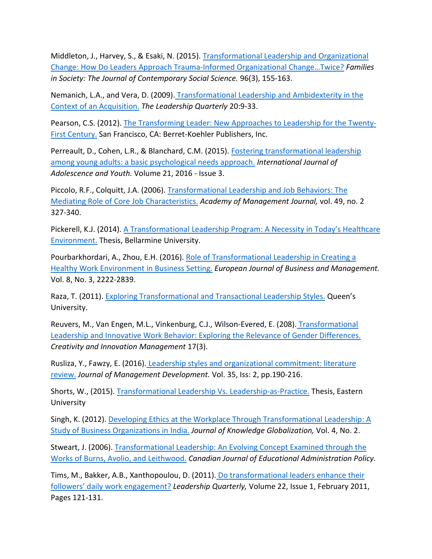Middleton, J., Harvey, S., & Esaki, N. (2015). [Transformational Leadership and Organizational](http://familiesinsocietyjournal.org/doi/abs/10.1606/1044-3894.2015.96.21?journalCode=fcss)  [Change: How Do Leaders Approach Trauma-Informed Organizational Change…Twice?](http://familiesinsocietyjournal.org/doi/abs/10.1606/1044-3894.2015.96.21?journalCode=fcss) *Families in Society: The Journal of Contemporary Social Science.* 96(3), 155-163.

Nemanich, L.A., and Vera, D. (2009). [Transformational Leadership and Ambidexterity in the](https://www.researchgate.net/publication/240181970_Transformational_Leadership_and_Ambidexterity_in_the_Context_of_an_Acquisi)  [Context of an Acquisition.](https://www.researchgate.net/publication/240181970_Transformational_Leadership_and_Ambidexterity_in_the_Context_of_an_Acquisi) *The Leadership Quarterly* 20:9-33.

Pearson, C.S. (2012). [The Transforming Leader: New Approaches to Leadership for the Twenty-](https://www.amazon.com/Transforming-Leader-Approaches-Leadership-Twenty-First/dp/1609941209)[First Century.](https://www.amazon.com/Transforming-Leader-Approaches-Leadership-Twenty-First/dp/1609941209) San Francisco, CA: Berret-Koehler Publishers, Inc.

Perreault, D., Cohen, L.R., & Blanchard, C.M. (2015). Fostering transformational leadership [among young adults: a basic psychological needs approach.](http://www.tandfonline.com/doi/full/10.1080/02673843.2015.1083451) *International Journal of Adolescence and Youth.* Volume 21, 2016 - Issue 3.

Piccolo, R.F., Colquitt, J.A. (2006). Transformational Leadership and Job Behaviors: The Mediating Role of Core Job Characteristics. *Academy of Management Journal,* vol. 49, no. 2 327-340.

Pickerell, K.J. (2014). [A Transformational Leadership Program: A Necessity in Today's Healthcare](http://scholarworks.bellarmine.edu/cgi/viewcontent.cgi?article=1005&context=tdc)  [Environment.](http://scholarworks.bellarmine.edu/cgi/viewcontent.cgi?article=1005&context=tdc) Thesis, Bellarmine University.

Pourbarkhordari, A., Zhou, E.H. (2016). Role of Transformational Leadership in Creating a Healthy Work Environment in Business Setting. *European Journal of Business and Management.* Vol. 8, No. 3, 2222-2839.

Raza, T. (2011). [Exploring Transformational and Transactional Leadership Styles.](http://irc.queensu.ca/articles/exploring-transformational-and-transactional-leadership-styles) Queen's University.

Reuvers, M., Van Engen, M.L., Vinkenburg, C.J., Wilson-Evered, E. (208). [Transformational](http://www.emeraldinsight.com/doi/abs/10.1108/IMDS-05-2014-0152?journalCode=imds)  [Leadership and Innovative Work Behavior: Exploring the Relevance of Gender Differences.](http://www.emeraldinsight.com/doi/abs/10.1108/IMDS-05-2014-0152?journalCode=imds) *Creativity and Innovation Management* 17(3).

Rusliza, Y., Fawzy, E. (2016). [Leadership styles and organizational commitment: literature](http://www.emeraldinsight.com/doi/abs/10.1108/JMD-01-2015-0004?journalCode=jmd)  [review.](http://www.emeraldinsight.com/doi/abs/10.1108/JMD-01-2015-0004?journalCode=jmd) *Journal of Management Development.* Vol. 35, Iss: 2, pp.190-216.

Shorts, W., (2015). [Transformational Leadership Vs. Leadership-as-Practice.](https://www.linkedin.com/pulse/transformational-leadership-vs-leadership-as-practice-shorts-mpa) Thesis, Eastern University

Singh, K. (2012). [Developing Ethics at the Workplace Through Transformational Leadership: A](http://papers.ssrn.com/sol3/papers.cfm?abstract_id=2136975)  [Study of Business Organizations in India.](http://papers.ssrn.com/sol3/papers.cfm?abstract_id=2136975) *Journal of Knowledge Globalization,* Vol. 4, No. 2.

Stweart, J. (2006). [Transformational Leadership: An Evolving Concept Examined through the](https://www.researchgate.net/publication/238672658_Transformational_Leadership_An_Evolving_Concept_Examined_Through_the_Works_of_Burns_Bass_Avolio_and_Leithwood)  [Works of Burns, Avolio, and Leithwood.](https://www.researchgate.net/publication/238672658_Transformational_Leadership_An_Evolving_Concept_Examined_Through_the_Works_of_Burns_Bass_Avolio_and_Leithwood) *Canadian Journal of Educational Administration Policy.*

Tims, M., Bakker, A.B., Xanthopoulou, D. (2011). Do transformational [leaders enhance their](http://connection.ebscohost.com/c/articles/58540611/do-transformational-leaders-enhance-their-followers-daily-work-engagement)  [followers' daily work engagement?](http://connection.ebscohost.com/c/articles/58540611/do-transformational-leaders-enhance-their-followers-daily-work-engagement) *Leadership Quarterly,* Volume 22, Issue 1, February 2011, Pages 121-131.